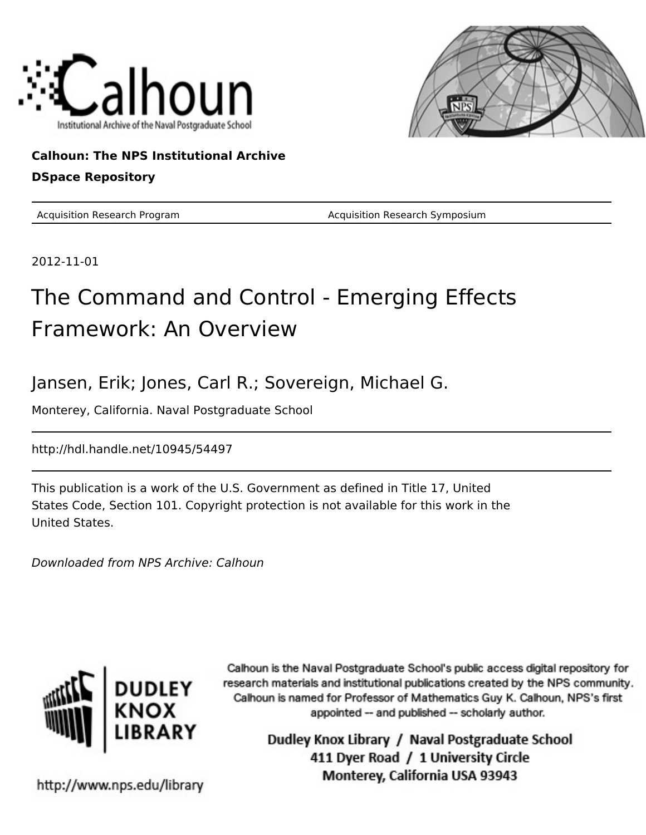



**Calhoun: The NPS Institutional Archive DSpace Repository**

Acquisition Research Program **Acquisition Research Symposium** Acquisition Research Symposium

2012-11-01

# The Command and Control - Emerging Effects Framework: An Overview

Jansen, Erik; Jones, Carl R.; Sovereign, Michael G.

Monterey, California. Naval Postgraduate School

http://hdl.handle.net/10945/54497

This publication is a work of the U.S. Government as defined in Title 17, United States Code, Section 101. Copyright protection is not available for this work in the United States.

Downloaded from NPS Archive: Calhoun



Calhoun is the Naval Postgraduate School's public access digital repository for research materials and institutional publications created by the NPS community. Calhoun is named for Professor of Mathematics Guy K. Calhoun, NPS's first appointed -- and published -- scholarly author.

> Dudley Knox Library / Naval Postgraduate School 411 Dyer Road / 1 University Circle Monterey, California USA 93943

http://www.nps.edu/library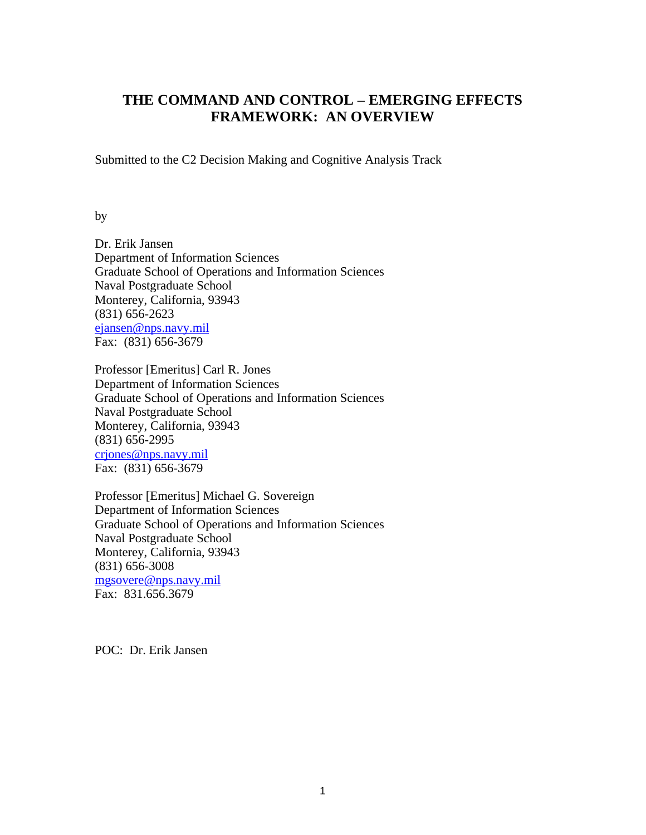# **THE COMMAND AND CONTROL – EMERGING EFFECTS FRAMEWORK: AN OVERVIEW**

Submitted to the C2 Decision Making and Cognitive Analysis Track

by

Dr. Erik Jansen Department of Information Sciences Graduate School of Operations and Information Sciences Naval Postgraduate School Monterey, California, 93943 (831) 656-2623 ejansen@nps.navy.mil Fax: (831) 656-3679

Professor [Emeritus] Carl R. Jones Department of Information Sciences Graduate School of Operations and Information Sciences Naval Postgraduate School Monterey, California, 93943 (831) 656-2995 crjones@nps.navy.mil Fax: (831) 656-3679

Professor [Emeritus] Michael G. Sovereign Department of Information Sciences Graduate School of Operations and Information Sciences Naval Postgraduate School Monterey, California, 93943 (831) 656-3008 mgsovere@nps.navy.mil Fax: 831,656,3679

POC: Dr. Erik Jansen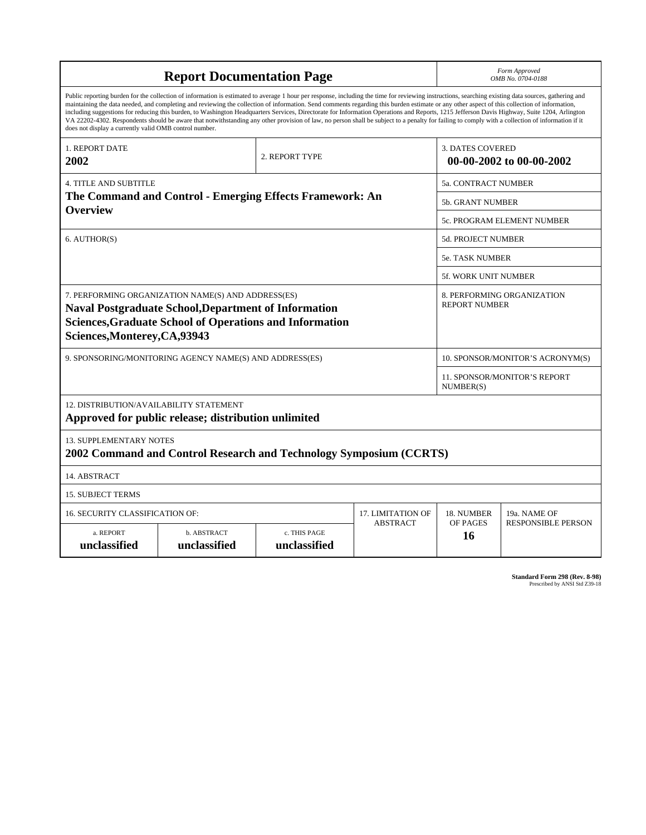| <b>Report Documentation Page</b>                                                                                                                                                                                                                                                                                                                                                                                                                                                                                                                                                                                                                                                                                                                                                                                                                                   |                                                                    |                              | Form Approved<br>OMB No. 0704-0188                 |                                  |                           |
|--------------------------------------------------------------------------------------------------------------------------------------------------------------------------------------------------------------------------------------------------------------------------------------------------------------------------------------------------------------------------------------------------------------------------------------------------------------------------------------------------------------------------------------------------------------------------------------------------------------------------------------------------------------------------------------------------------------------------------------------------------------------------------------------------------------------------------------------------------------------|--------------------------------------------------------------------|------------------------------|----------------------------------------------------|----------------------------------|---------------------------|
| Public reporting burden for the collection of information is estimated to average 1 hour per response, including the time for reviewing instructions, searching existing data sources, gathering and<br>maintaining the data needed, and completing and reviewing the collection of information. Send comments regarding this burden estimate or any other aspect of this collection of information,<br>including suggestions for reducing this burden, to Washington Headquarters Services, Directorate for Information Operations and Reports, 1215 Jefferson Davis Highway, Suite 1204, Arlington<br>VA 22202-4302. Respondents should be aware that notwithstanding any other provision of law, no person shall be subject to a penalty for failing to comply with a collection of information if it<br>does not display a currently valid OMB control number. |                                                                    |                              |                                                    |                                  |                           |
| <b>1. REPORT DATE</b><br>2002                                                                                                                                                                                                                                                                                                                                                                                                                                                                                                                                                                                                                                                                                                                                                                                                                                      |                                                                    | 2. REPORT TYPE               |                                                    | <b>3. DATES COVERED</b>          | 00-00-2002 to 00-00-2002  |
| <b>4. TITLE AND SUBTITLE</b>                                                                                                                                                                                                                                                                                                                                                                                                                                                                                                                                                                                                                                                                                                                                                                                                                                       |                                                                    |                              | <b>5a. CONTRACT NUMBER</b>                         |                                  |                           |
| The Command and Control - Emerging Effects Framework: An<br><b>Overview</b>                                                                                                                                                                                                                                                                                                                                                                                                                                                                                                                                                                                                                                                                                                                                                                                        |                                                                    |                              | <b>5b. GRANT NUMBER</b>                            |                                  |                           |
|                                                                                                                                                                                                                                                                                                                                                                                                                                                                                                                                                                                                                                                                                                                                                                                                                                                                    |                                                                    |                              | 5c. PROGRAM ELEMENT NUMBER                         |                                  |                           |
| 6. AUTHOR(S)                                                                                                                                                                                                                                                                                                                                                                                                                                                                                                                                                                                                                                                                                                                                                                                                                                                       |                                                                    |                              |                                                    | <b>5d. PROJECT NUMBER</b>        |                           |
|                                                                                                                                                                                                                                                                                                                                                                                                                                                                                                                                                                                                                                                                                                                                                                                                                                                                    |                                                                    |                              | <b>5e. TASK NUMBER</b>                             |                                  |                           |
|                                                                                                                                                                                                                                                                                                                                                                                                                                                                                                                                                                                                                                                                                                                                                                                                                                                                    |                                                                    |                              |                                                    | 5f. WORK UNIT NUMBER             |                           |
| 7. PERFORMING ORGANIZATION NAME(S) AND ADDRESS(ES)<br><b>Naval Postgraduate School, Department of Information</b><br><b>Sciences, Graduate School of Operations and Information</b><br>Sciences, Monterey, CA, 93943                                                                                                                                                                                                                                                                                                                                                                                                                                                                                                                                                                                                                                               |                                                                    |                              | 8. PERFORMING ORGANIZATION<br><b>REPORT NUMBER</b> |                                  |                           |
| 9. SPONSORING/MONITORING AGENCY NAME(S) AND ADDRESS(ES)                                                                                                                                                                                                                                                                                                                                                                                                                                                                                                                                                                                                                                                                                                                                                                                                            |                                                                    |                              |                                                    | 10. SPONSOR/MONITOR'S ACRONYM(S) |                           |
|                                                                                                                                                                                                                                                                                                                                                                                                                                                                                                                                                                                                                                                                                                                                                                                                                                                                    |                                                                    |                              | 11. SPONSOR/MONITOR'S REPORT<br>NUMBER(S)          |                                  |                           |
| 12. DISTRIBUTION/AVAILABILITY STATEMENT<br>Approved for public release; distribution unlimited                                                                                                                                                                                                                                                                                                                                                                                                                                                                                                                                                                                                                                                                                                                                                                     |                                                                    |                              |                                                    |                                  |                           |
| <b>13. SUPPLEMENTARY NOTES</b>                                                                                                                                                                                                                                                                                                                                                                                                                                                                                                                                                                                                                                                                                                                                                                                                                                     | 2002 Command and Control Research and Technology Symposium (CCRTS) |                              |                                                    |                                  |                           |
| 14. ABSTRACT                                                                                                                                                                                                                                                                                                                                                                                                                                                                                                                                                                                                                                                                                                                                                                                                                                                       |                                                                    |                              |                                                    |                                  |                           |
| <b>15. SUBJECT TERMS</b>                                                                                                                                                                                                                                                                                                                                                                                                                                                                                                                                                                                                                                                                                                                                                                                                                                           |                                                                    |                              |                                                    |                                  |                           |
| <b>16. SECURITY CLASSIFICATION OF:</b>                                                                                                                                                                                                                                                                                                                                                                                                                                                                                                                                                                                                                                                                                                                                                                                                                             |                                                                    |                              | 17. LIMITATION OF                                  | 18. NUMBER                       | 19a. NAME OF              |
| a. REPORT<br>unclassified                                                                                                                                                                                                                                                                                                                                                                                                                                                                                                                                                                                                                                                                                                                                                                                                                                          | b. ABSTRACT<br>unclassified                                        | c. THIS PAGE<br>unclassified | <b>ABSTRACT</b>                                    | OF PAGES<br>16                   | <b>RESPONSIBLE PERSON</b> |

**Standard Form 298 (Rev. 8-98)**<br>Prescribed by ANSI Std Z39-18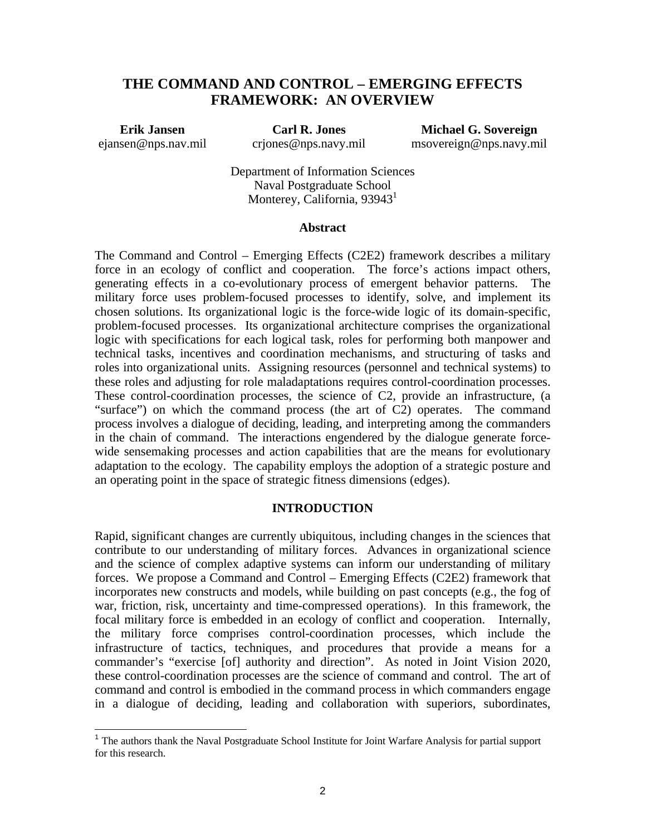## **THE COMMAND AND CONTROL – EMERGING EFFECTS FRAMEWORK: AN OVERVIEW**

**Erik Jansen** ejansen@nps.nav.mil

 $\overline{\phantom{a}}$ 

**Carl R. Jones** crjones@nps.navy.mil

**Michael G. Sovereign** msovereign@nps.navy.mil

Department of Information Sciences Naval Postgraduate School Monterey, California,  $93943^1$ 

#### **Abstract**

The Command and Control – Emerging Effects (C2E2) framework describes a military force in an ecology of conflict and cooperation. The force's actions impact others, generating effects in a co-evolutionary process of emergent behavior patterns. The military force uses problem-focused processes to identify, solve, and implement its chosen solutions. Its organizational logic is the force-wide logic of its domain-specific, problem-focused processes. Its organizational architecture comprises the organizational logic with specifications for each logical task, roles for performing both manpower and technical tasks, incentives and coordination mechanisms, and structuring of tasks and roles into organizational units. Assigning resources (personnel and technical systems) to these roles and adjusting for role maladaptations requires control-coordination processes. These control-coordination processes, the science of C2, provide an infrastructure, (a "surface") on which the command process (the art of C2) operates. The command process involves a dialogue of deciding, leading, and interpreting among the commanders in the chain of command. The interactions engendered by the dialogue generate forcewide sensemaking processes and action capabilities that are the means for evolutionary adaptation to the ecology. The capability employs the adoption of a strategic posture and an operating point in the space of strategic fitness dimensions (edges).

#### **INTRODUCTION**

Rapid, significant changes are currently ubiquitous, including changes in the sciences that contribute to our understanding of military forces. Advances in organizational science and the science of complex adaptive systems can inform our understanding of military forces. We propose a Command and Control – Emerging Effects (C2E2) framework that incorporates new constructs and models, while building on past concepts (e.g., the fog of war, friction, risk, uncertainty and time-compressed operations). In this framework, the focal military force is embedded in an ecology of conflict and cooperation. Internally, the military force comprises control-coordination processes, which include the infrastructure of tactics, techniques, and procedures that provide a means for a commander's "exercise [of] authority and direction". As noted in Joint Vision 2020, these control-coordination processes are the science of command and control. The art of command and control is embodied in the command process in which commanders engage in a dialogue of deciding, leading and collaboration with superiors, subordinates,

<sup>&</sup>lt;sup>1</sup> The authors thank the Naval Postgraduate School Institute for Joint Warfare Analysis for partial support for this research.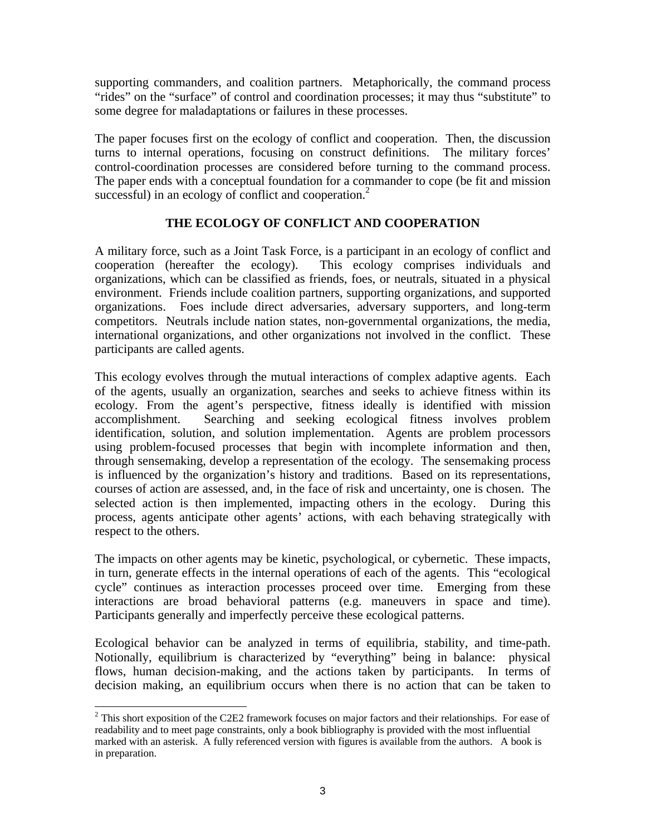supporting commanders, and coalition partners. Metaphorically, the command process "rides" on the "surface" of control and coordination processes; it may thus "substitute" to some degree for maladaptations or failures in these processes.

The paper focuses first on the ecology of conflict and cooperation. Then, the discussion turns to internal operations, focusing on construct definitions. The military forces' control-coordination processes are considered before turning to the command process. The paper ends with a conceptual foundation for a commander to cope (be fit and mission successful) in an ecology of conflict and cooperation.<sup>2</sup>

## **THE ECOLOGY OF CONFLICT AND COOPERATION**

A military force, such as a Joint Task Force, is a participant in an ecology of conflict and cooperation (hereafter the ecology). This ecology comprises individuals and organizations, which can be classified as friends, foes, or neutrals, situated in a physical environment. Friends include coalition partners, supporting organizations, and supported organizations. Foes include direct adversaries, adversary supporters, and long-term competitors. Neutrals include nation states, non-governmental organizations, the media, international organizations, and other organizations not involved in the conflict. These participants are called agents.

This ecology evolves through the mutual interactions of complex adaptive agents. Each of the agents, usually an organization, searches and seeks to achieve fitness within its ecology. From the agent's perspective, fitness ideally is identified with mission accomplishment. Searching and seeking ecological fitness involves problem identification, solution, and solution implementation. Agents are problem processors using problem-focused processes that begin with incomplete information and then, through sensemaking, develop a representation of the ecology. The sensemaking process is influenced by the organization's history and traditions. Based on its representations, courses of action are assessed, and, in the face of risk and uncertainty, one is chosen. The selected action is then implemented, impacting others in the ecology. During this process, agents anticipate other agents' actions, with each behaving strategically with respect to the others.

The impacts on other agents may be kinetic, psychological, or cybernetic. These impacts, in turn, generate effects in the internal operations of each of the agents. This "ecological cycle" continues as interaction processes proceed over time. Emerging from these interactions are broad behavioral patterns (e.g. maneuvers in space and time). Participants generally and imperfectly perceive these ecological patterns.

Ecological behavior can be analyzed in terms of equilibria, stability, and time-path. Notionally, equilibrium is characterized by "everything" being in balance: physical flows, human decision-making, and the actions taken by participants. In terms of decision making, an equilibrium occurs when there is no action that can be taken to

1

<sup>&</sup>lt;sup>2</sup> This short exposition of the C2E2 framework focuses on major factors and their relationships. For ease of readability and to meet page constraints, only a book bibliography is provided with the most influential marked with an asterisk. A fully referenced version with figures is available from the authors. A book is in preparation.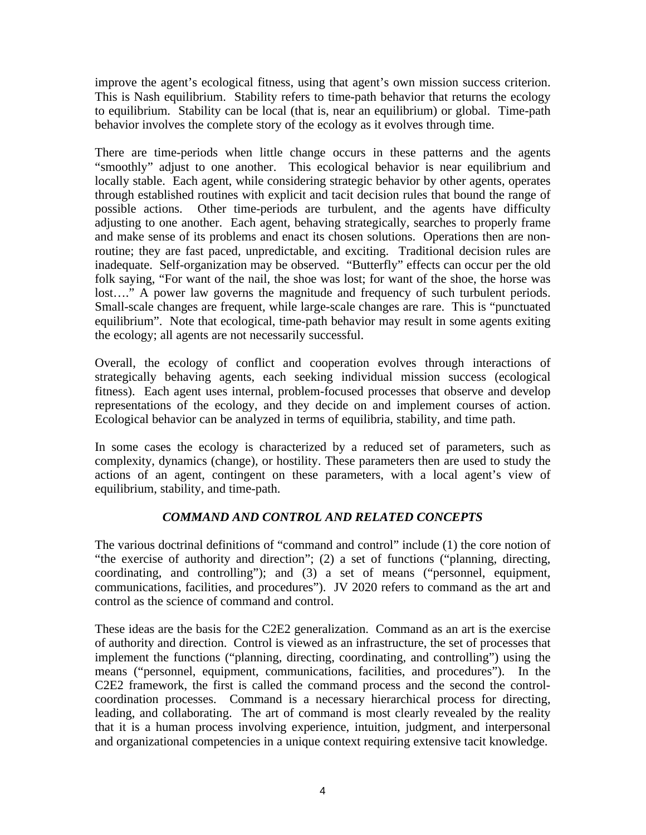improve the agent's ecological fitness, using that agent's own mission success criterion. This is Nash equilibrium. Stability refers to time-path behavior that returns the ecology to equilibrium. Stability can be local (that is, near an equilibrium) or global. Time-path behavior involves the complete story of the ecology as it evolves through time.

There are time-periods when little change occurs in these patterns and the agents "smoothly" adjust to one another. This ecological behavior is near equilibrium and locally stable. Each agent, while considering strategic behavior by other agents, operates through established routines with explicit and tacit decision rules that bound the range of possible actions. Other time-periods are turbulent, and the agents have difficulty adjusting to one another. Each agent, behaving strategically, searches to properly frame and make sense of its problems and enact its chosen solutions. Operations then are nonroutine; they are fast paced, unpredictable, and exciting. Traditional decision rules are inadequate. Self-organization may be observed. "Butterfly" effects can occur per the old folk saying, "For want of the nail, the shoe was lost; for want of the shoe, the horse was lost…." A power law governs the magnitude and frequency of such turbulent periods. Small-scale changes are frequent, while large-scale changes are rare. This is "punctuated equilibrium". Note that ecological, time-path behavior may result in some agents exiting the ecology; all agents are not necessarily successful.

Overall, the ecology of conflict and cooperation evolves through interactions of strategically behaving agents, each seeking individual mission success (ecological fitness). Each agent uses internal, problem-focused processes that observe and develop representations of the ecology, and they decide on and implement courses of action. Ecological behavior can be analyzed in terms of equilibria, stability, and time path.

In some cases the ecology is characterized by a reduced set of parameters, such as complexity, dynamics (change), or hostility. These parameters then are used to study the actions of an agent, contingent on these parameters, with a local agent's view of equilibrium, stability, and time-path.

## *COMMAND AND CONTROL AND RELATED CONCEPTS*

The various doctrinal definitions of "command and control" include (1) the core notion of "the exercise of authority and direction"; (2) a set of functions ("planning, directing, coordinating, and controlling"); and (3) a set of means ("personnel, equipment, communications, facilities, and procedures"). JV 2020 refers to command as the art and control as the science of command and control.

These ideas are the basis for the C2E2 generalization. Command as an art is the exercise of authority and direction. Control is viewed as an infrastructure, the set of processes that implement the functions ("planning, directing, coordinating, and controlling") using the means ("personnel, equipment, communications, facilities, and procedures"). In the C2E2 framework, the first is called the command process and the second the controlcoordination processes. Command is a necessary hierarchical process for directing, leading, and collaborating. The art of command is most clearly revealed by the reality that it is a human process involving experience, intuition, judgment, and interpersonal and organizational competencies in a unique context requiring extensive tacit knowledge.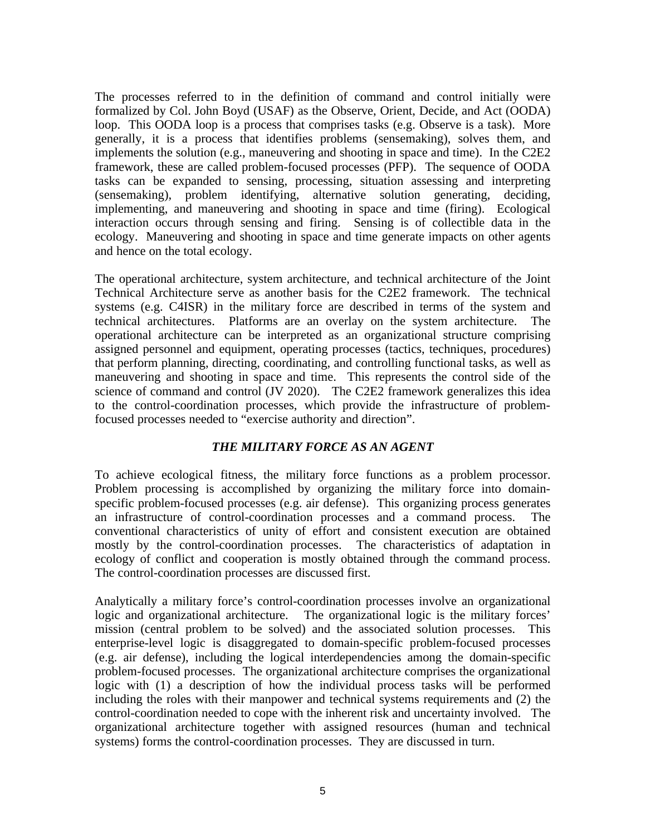The processes referred to in the definition of command and control initially were formalized by Col. John Boyd (USAF) as the Observe, Orient, Decide, and Act (OODA) loop. This OODA loop is a process that comprises tasks (e.g. Observe is a task). More generally, it is a process that identifies problems (sensemaking), solves them, and implements the solution (e.g., maneuvering and shooting in space and time). In the C2E2 framework, these are called problem-focused processes (PFP). The sequence of OODA tasks can be expanded to sensing, processing, situation assessing and interpreting (sensemaking), problem identifying, alternative solution generating, deciding, implementing, and maneuvering and shooting in space and time (firing). Ecological interaction occurs through sensing and firing. Sensing is of collectible data in the ecology. Maneuvering and shooting in space and time generate impacts on other agents and hence on the total ecology.

The operational architecture, system architecture, and technical architecture of the Joint Technical Architecture serve as another basis for the C2E2 framework. The technical systems (e.g. C4ISR) in the military force are described in terms of the system and technical architectures. Platforms are an overlay on the system architecture. The operational architecture can be interpreted as an organizational structure comprising assigned personnel and equipment, operating processes (tactics, techniques, procedures) that perform planning, directing, coordinating, and controlling functional tasks, as well as maneuvering and shooting in space and time. This represents the control side of the science of command and control (JV 2020). The C2E2 framework generalizes this idea to the control-coordination processes, which provide the infrastructure of problemfocused processes needed to "exercise authority and direction".

## *THE MILITARY FORCE AS AN AGENT*

To achieve ecological fitness, the military force functions as a problem processor. Problem processing is accomplished by organizing the military force into domainspecific problem-focused processes (e.g. air defense). This organizing process generates an infrastructure of control-coordination processes and a command process. The conventional characteristics of unity of effort and consistent execution are obtained mostly by the control-coordination processes. The characteristics of adaptation in ecology of conflict and cooperation is mostly obtained through the command process. The control-coordination processes are discussed first.

Analytically a military force's control-coordination processes involve an organizational logic and organizational architecture. The organizational logic is the military forces' mission (central problem to be solved) and the associated solution processes. This enterprise-level logic is disaggregated to domain-specific problem-focused processes (e.g. air defense), including the logical interdependencies among the domain-specific problem-focused processes. The organizational architecture comprises the organizational logic with (1) a description of how the individual process tasks will be performed including the roles with their manpower and technical systems requirements and (2) the control-coordination needed to cope with the inherent risk and uncertainty involved. The organizational architecture together with assigned resources (human and technical systems) forms the control-coordination processes. They are discussed in turn.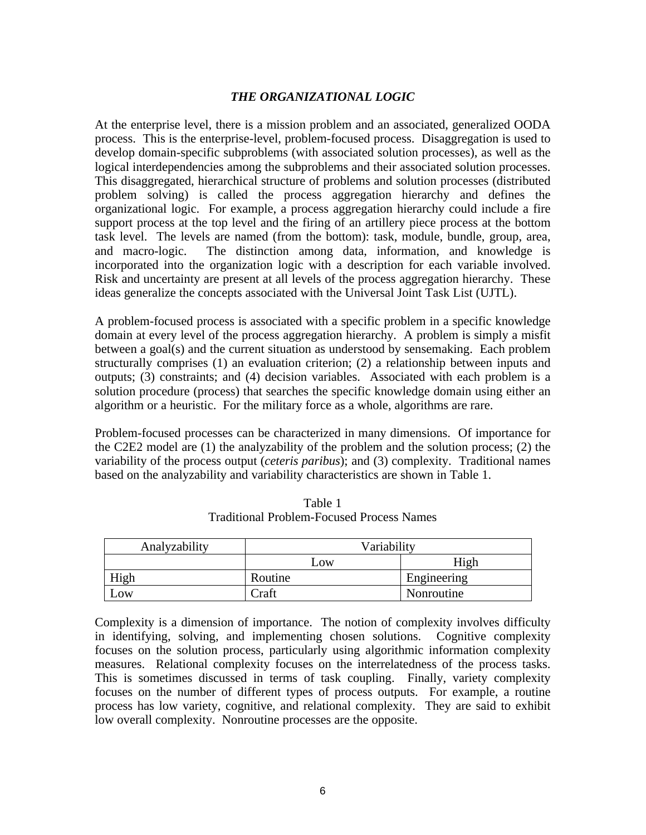#### *THE ORGANIZATIONAL LOGIC*

At the enterprise level, there is a mission problem and an associated, generalized OODA process. This is the enterprise-level, problem-focused process. Disaggregation is used to develop domain-specific subproblems (with associated solution processes), as well as the logical interdependencies among the subproblems and their associated solution processes. This disaggregated, hierarchical structure of problems and solution processes (distributed problem solving) is called the process aggregation hierarchy and defines the organizational logic. For example, a process aggregation hierarchy could include a fire support process at the top level and the firing of an artillery piece process at the bottom task level. The levels are named (from the bottom): task, module, bundle, group, area, and macro-logic. The distinction among data, information, and knowledge is incorporated into the organization logic with a description for each variable involved. Risk and uncertainty are present at all levels of the process aggregation hierarchy. These ideas generalize the concepts associated with the Universal Joint Task List (UJTL).

A problem-focused process is associated with a specific problem in a specific knowledge domain at every level of the process aggregation hierarchy. A problem is simply a misfit between a goal(s) and the current situation as understood by sensemaking. Each problem structurally comprises (1) an evaluation criterion; (2) a relationship between inputs and outputs; (3) constraints; and (4) decision variables. Associated with each problem is a solution procedure (process) that searches the specific knowledge domain using either an algorithm or a heuristic. For the military force as a whole, algorithms are rare.

Problem-focused processes can be characterized in many dimensions. Of importance for the C2E2 model are (1) the analyzability of the problem and the solution process; (2) the variability of the process output (*ceteris paribus*); and (3) complexity. Traditional names based on the analyzability and variability characteristics are shown in Table 1.

| Analyzability | Variability   |             |
|---------------|---------------|-------------|
|               | $_{\rm{LOW}}$ | High        |
| High          | Routine       | Engineering |
| Low           | Craft         | Nonroutine  |

Table 1 Traditional Problem-Focused Process Names

Complexity is a dimension of importance. The notion of complexity involves difficulty in identifying, solving, and implementing chosen solutions. Cognitive complexity focuses on the solution process, particularly using algorithmic information complexity measures. Relational complexity focuses on the interrelatedness of the process tasks. This is sometimes discussed in terms of task coupling. Finally, variety complexity focuses on the number of different types of process outputs. For example, a routine process has low variety, cognitive, and relational complexity. They are said to exhibit low overall complexity. Nonroutine processes are the opposite.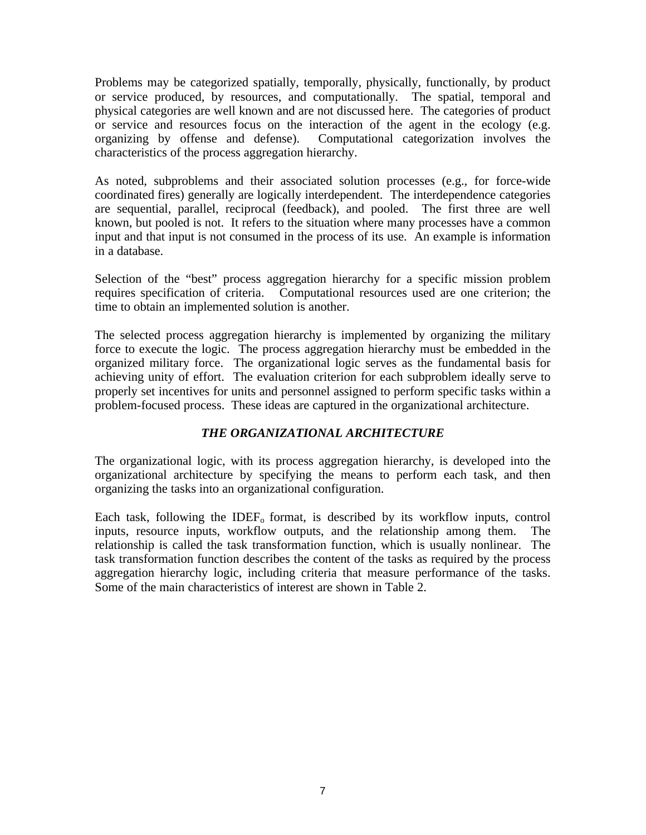Problems may be categorized spatially, temporally, physically, functionally, by product or service produced, by resources, and computationally. The spatial, temporal and physical categories are well known and are not discussed here. The categories of product or service and resources focus on the interaction of the agent in the ecology (e.g. organizing by offense and defense). Computational categorization involves the characteristics of the process aggregation hierarchy.

As noted, subproblems and their associated solution processes (e.g., for force-wide coordinated fires) generally are logically interdependent. The interdependence categories are sequential, parallel, reciprocal (feedback), and pooled. The first three are well known, but pooled is not. It refers to the situation where many processes have a common input and that input is not consumed in the process of its use. An example is information in a database.

Selection of the "best" process aggregation hierarchy for a specific mission problem requires specification of criteria. Computational resources used are one criterion; the time to obtain an implemented solution is another.

The selected process aggregation hierarchy is implemented by organizing the military force to execute the logic. The process aggregation hierarchy must be embedded in the organized military force. The organizational logic serves as the fundamental basis for achieving unity of effort. The evaluation criterion for each subproblem ideally serve to properly set incentives for units and personnel assigned to perform specific tasks within a problem-focused process. These ideas are captured in the organizational architecture.

## *THE ORGANIZATIONAL ARCHITECTURE*

The organizational logic, with its process aggregation hierarchy, is developed into the organizational architecture by specifying the means to perform each task, and then organizing the tasks into an organizational configuration.

Each task, following the IDEF<sub> $o$ </sub> format, is described by its workflow inputs, control inputs, resource inputs, workflow outputs, and the relationship among them. The relationship is called the task transformation function, which is usually nonlinear. The task transformation function describes the content of the tasks as required by the process aggregation hierarchy logic, including criteria that measure performance of the tasks. Some of the main characteristics of interest are shown in Table 2.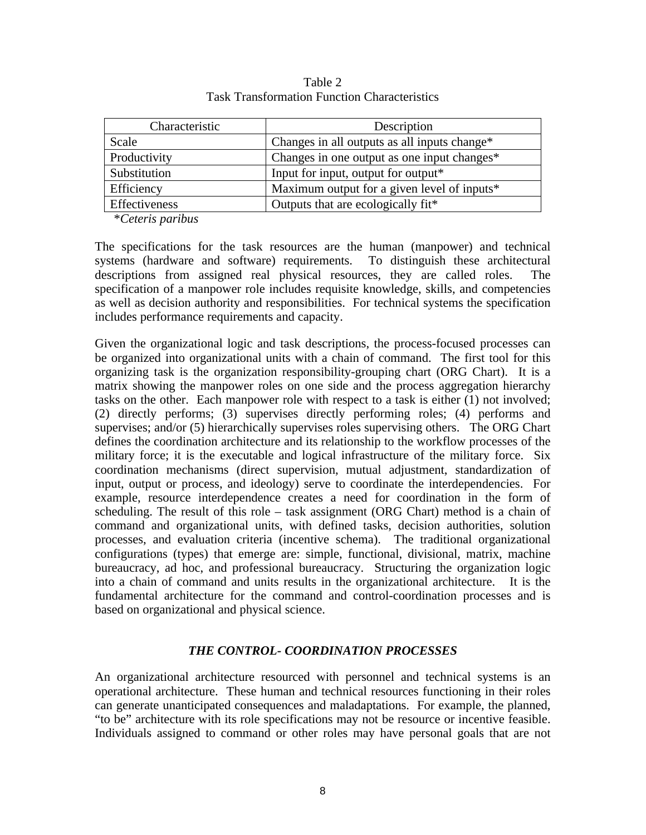| Characteristic                                   | Description                                  |
|--------------------------------------------------|----------------------------------------------|
| Scale                                            | Changes in all outputs as all inputs change* |
| Productivity                                     | Changes in one output as one input changes*  |
| Substitution                                     | Input for input, output for output*          |
| Efficiency                                       | Maximum output for a given level of inputs*  |
| Effectiveness                                    | Outputs that are ecologically fit*           |
| $\sim$ $\sim$ $\sim$ $\sim$ $\sim$ $\sim$ $\sim$ |                                              |

Table 2 Task Transformation Function Characteristics

\**Ceteris paribus*

The specifications for the task resources are the human (manpower) and technical systems (hardware and software) requirements. To distinguish these architectural descriptions from assigned real physical resources, they are called roles. The specification of a manpower role includes requisite knowledge, skills, and competencies as well as decision authority and responsibilities. For technical systems the specification includes performance requirements and capacity.

Given the organizational logic and task descriptions, the process-focused processes can be organized into organizational units with a chain of command. The first tool for this organizing task is the organization responsibility-grouping chart (ORG Chart). It is a matrix showing the manpower roles on one side and the process aggregation hierarchy tasks on the other. Each manpower role with respect to a task is either (1) not involved; (2) directly performs; (3) supervises directly performing roles; (4) performs and supervises; and/or (5) hierarchically supervises roles supervising others. The ORG Chart defines the coordination architecture and its relationship to the workflow processes of the military force; it is the executable and logical infrastructure of the military force. Six coordination mechanisms (direct supervision, mutual adjustment, standardization of input, output or process, and ideology) serve to coordinate the interdependencies. For example, resource interdependence creates a need for coordination in the form of scheduling. The result of this role – task assignment (ORG Chart) method is a chain of command and organizational units, with defined tasks, decision authorities, solution processes, and evaluation criteria (incentive schema). The traditional organizational configurations (types) that emerge are: simple, functional, divisional, matrix, machine bureaucracy, ad hoc, and professional bureaucracy. Structuring the organization logic into a chain of command and units results in the organizational architecture. It is the fundamental architecture for the command and control-coordination processes and is based on organizational and physical science.

#### *THE CONTROL- COORDINATION PROCESSES*

An organizational architecture resourced with personnel and technical systems is an operational architecture. These human and technical resources functioning in their roles can generate unanticipated consequences and maladaptations. For example, the planned, "to be" architecture with its role specifications may not be resource or incentive feasible. Individuals assigned to command or other roles may have personal goals that are not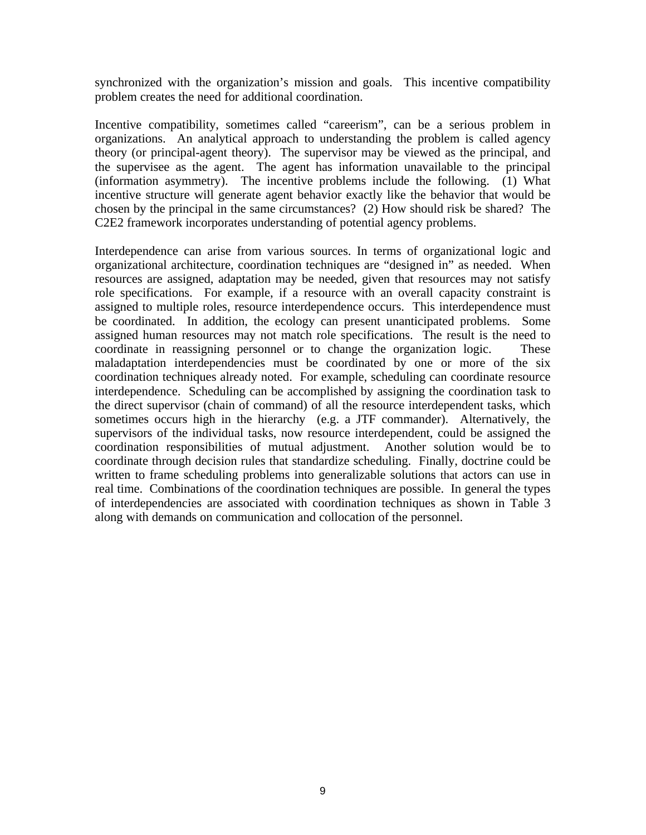synchronized with the organization's mission and goals. This incentive compatibility problem creates the need for additional coordination.

Incentive compatibility, sometimes called "careerism", can be a serious problem in organizations. An analytical approach to understanding the problem is called agency theory (or principal-agent theory). The supervisor may be viewed as the principal, and the supervisee as the agent. The agent has information unavailable to the principal (information asymmetry). The incentive problems include the following. (1) What incentive structure will generate agent behavior exactly like the behavior that would be chosen by the principal in the same circumstances? (2) How should risk be shared? The C2E2 framework incorporates understanding of potential agency problems.

Interdependence can arise from various sources. In terms of organizational logic and organizational architecture, coordination techniques are "designed in" as needed. When resources are assigned, adaptation may be needed, given that resources may not satisfy role specifications. For example, if a resource with an overall capacity constraint is assigned to multiple roles, resource interdependence occurs. This interdependence must be coordinated. In addition, the ecology can present unanticipated problems. Some assigned human resources may not match role specifications. The result is the need to coordinate in reassigning personnel or to change the organization logic. These maladaptation interdependencies must be coordinated by one or more of the six coordination techniques already noted. For example, scheduling can coordinate resource interdependence. Scheduling can be accomplished by assigning the coordination task to the direct supervisor (chain of command) of all the resource interdependent tasks, which sometimes occurs high in the hierarchy (e.g. a JTF commander). Alternatively, the supervisors of the individual tasks, now resource interdependent, could be assigned the coordination responsibilities of mutual adjustment. Another solution would be to coordinate through decision rules that standardize scheduling. Finally, doctrine could be written to frame scheduling problems into generalizable solutions that actors can use in real time. Combinations of the coordination techniques are possible. In general the types of interdependencies are associated with coordination techniques as shown in Table 3 along with demands on communication and collocation of the personnel.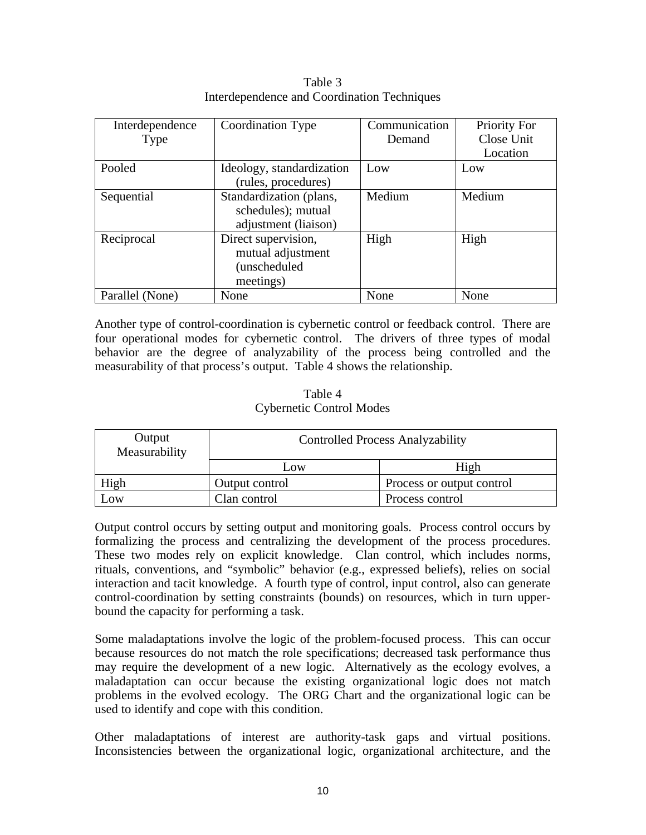| Interdependence | Coordination Type         | Communication | Priority For |
|-----------------|---------------------------|---------------|--------------|
| Type            |                           | Demand        | Close Unit   |
|                 |                           |               | Location     |
| Pooled          | Ideology, standardization | Low           | Low          |
|                 | (rules, procedures)       |               |              |
| Sequential      | Standardization (plans,   | Medium        | Medium       |
|                 | schedules); mutual        |               |              |
|                 | adjustment (liaison)      |               |              |
| Reciprocal      | Direct supervision,       | High          | High         |
|                 | mutual adjustment         |               |              |
|                 | (unscheduled              |               |              |
|                 | meetings)                 |               |              |
| Parallel (None) | None                      | None          | None         |

Table 3 Interdependence and Coordination Techniques

Another type of control-coordination is cybernetic control or feedback control. There are four operational modes for cybernetic control. The drivers of three types of modal behavior are the degree of analyzability of the process being controlled and the measurability of that process's output. Table 4 shows the relationship.

#### Table 4 Cybernetic Control Modes

| Output<br>Measurability | <b>Controlled Process Analyzability</b> |                           |  |
|-------------------------|-----------------------------------------|---------------------------|--|
|                         | Low                                     | High                      |  |
| High                    | Output control                          | Process or output control |  |
| $\sim 0W$               | Clan control                            | Process control           |  |

Output control occurs by setting output and monitoring goals. Process control occurs by formalizing the process and centralizing the development of the process procedures. These two modes rely on explicit knowledge. Clan control, which includes norms, rituals, conventions, and "symbolic" behavior (e.g., expressed beliefs), relies on social interaction and tacit knowledge. A fourth type of control, input control, also can generate control-coordination by setting constraints (bounds) on resources, which in turn upperbound the capacity for performing a task.

Some maladaptations involve the logic of the problem-focused process. This can occur because resources do not match the role specifications; decreased task performance thus may require the development of a new logic. Alternatively as the ecology evolves, a maladaptation can occur because the existing organizational logic does not match problems in the evolved ecology. The ORG Chart and the organizational logic can be used to identify and cope with this condition.

Other maladaptations of interest are authority-task gaps and virtual positions. Inconsistencies between the organizational logic, organizational architecture, and the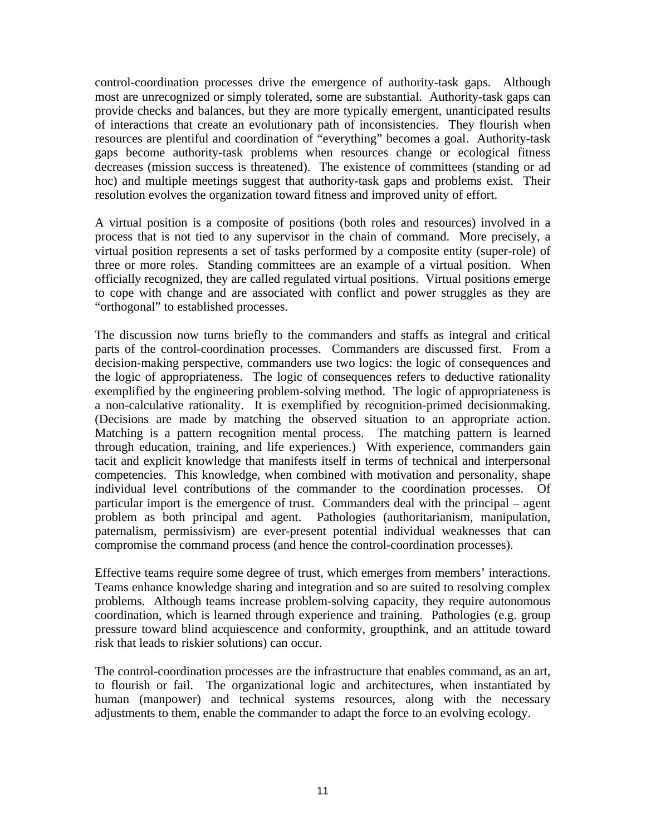control-coordination processes drive the emergence of authority-task gaps. Although most are unrecognized or simply tolerated, some are substantial. Authority-task gaps can provide checks and balances, but they are more typically emergent, unanticipated results of interactions that create an evolutionary path of inconsistencies. They flourish when resources are plentiful and coordination of "everything" becomes a goal. Authority-task gaps become authority-task problems when resources change or ecological fitness decreases (mission success is threatened). The existence of committees (standing or ad hoc) and multiple meetings suggest that authority-task gaps and problems exist. Their resolution evolves the organization toward fitness and improved unity of effort.

A virtual position is a composite of positions (both roles and resources) involved in a process that is not tied to any supervisor in the chain of command. More precisely, a virtual position represents a set of tasks performed by a composite entity (super-role) of three or more roles. Standing committees are an example of a virtual position. When officially recognized, they are called regulated virtual positions. Virtual positions emerge to cope with change and are associated with conflict and power struggles as they are "orthogonal" to established processes.

The discussion now turns briefly to the commanders and staffs as integral and critical parts of the control-coordination processes. Commanders are discussed first. From a decision-making perspective, commanders use two logics: the logic of consequences and the logic of appropriateness. The logic of consequences refers to deductive rationality exemplified by the engineering problem-solving method. The logic of appropriateness is a non-calculative rationality. It is exemplified by recognition-primed decisionmaking. (Decisions are made by matching the observed situation to an appropriate action. Matching is a pattern recognition mental process. The matching pattern is learned through education, training, and life experiences.) With experience, commanders gain tacit and explicit knowledge that manifests itself in terms of technical and interpersonal competencies. This knowledge, when combined with motivation and personality, shape individual level contributions of the commander to the coordination processes. Of particular import is the emergence of trust. Commanders deal with the principal – agent problem as both principal and agent. Pathologies (authoritarianism, manipulation, paternalism, permissivism) are ever-present potential individual weaknesses that can compromise the command process (and hence the control-coordination processes).

Effective teams require some degree of trust, which emerges from members' interactions. Teams enhance knowledge sharing and integration and so are suited to resolving complex problems. Although teams increase problem-solving capacity, they require autonomous coordination, which is learned through experience and training. Pathologies (e.g. group pressure toward blind acquiescence and conformity, groupthink, and an attitude toward risk that leads to riskier solutions) can occur.

The control-coordination processes are the infrastructure that enables command, as an art, to flourish or fail. The organizational logic and architectures, when instantiated by human (manpower) and technical systems resources, along with the necessary adjustments to them, enable the commander to adapt the force to an evolving ecology.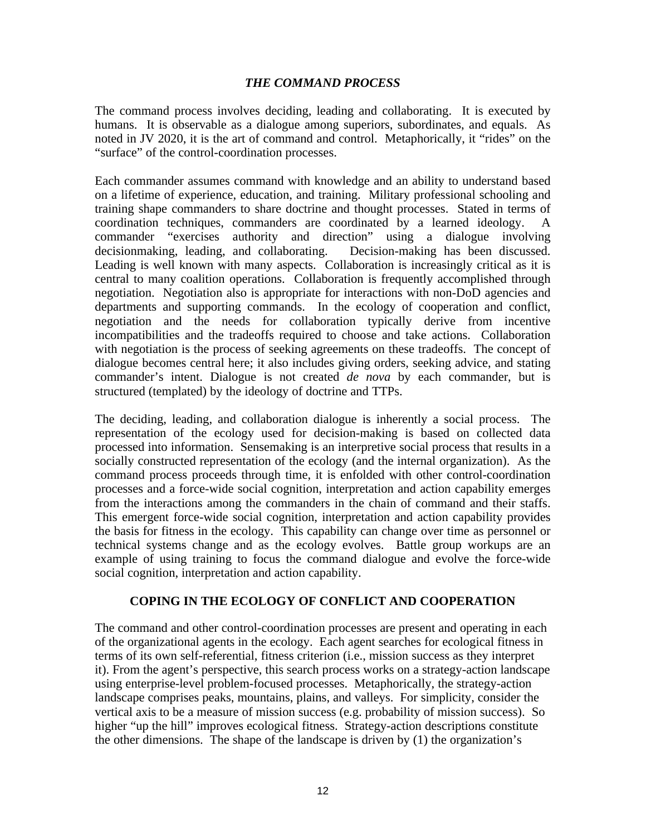#### *THE COMMAND PROCESS*

The command process involves deciding, leading and collaborating. It is executed by humans. It is observable as a dialogue among superiors, subordinates, and equals. As noted in JV 2020, it is the art of command and control. Metaphorically, it "rides" on the "surface" of the control-coordination processes.

Each commander assumes command with knowledge and an ability to understand based on a lifetime of experience, education, and training. Military professional schooling and training shape commanders to share doctrine and thought processes. Stated in terms of coordination techniques, commanders are coordinated by a learned ideology. A commander "exercises authority and direction" using a dialogue involving decisionmaking, leading, and collaborating. Decision-making has been discussed. Leading is well known with many aspects. Collaboration is increasingly critical as it is central to many coalition operations. Collaboration is frequently accomplished through negotiation. Negotiation also is appropriate for interactions with non-DoD agencies and departments and supporting commands. In the ecology of cooperation and conflict, negotiation and the needs for collaboration typically derive from incentive incompatibilities and the tradeoffs required to choose and take actions. Collaboration with negotiation is the process of seeking agreements on these tradeoffs. The concept of dialogue becomes central here; it also includes giving orders, seeking advice, and stating commander's intent. Dialogue is not created *de nova* by each commander, but is structured (templated) by the ideology of doctrine and TTPs.

The deciding, leading, and collaboration dialogue is inherently a social process. The representation of the ecology used for decision-making is based on collected data processed into information. Sensemaking is an interpretive social process that results in a socially constructed representation of the ecology (and the internal organization). As the command process proceeds through time, it is enfolded with other control-coordination processes and a force-wide social cognition, interpretation and action capability emerges from the interactions among the commanders in the chain of command and their staffs. This emergent force-wide social cognition, interpretation and action capability provides the basis for fitness in the ecology. This capability can change over time as personnel or technical systems change and as the ecology evolves. Battle group workups are an example of using training to focus the command dialogue and evolve the force-wide social cognition, interpretation and action capability.

#### **COPING IN THE ECOLOGY OF CONFLICT AND COOPERATION**

The command and other control-coordination processes are present and operating in each of the organizational agents in the ecology. Each agent searches for ecological fitness in terms of its own self-referential, fitness criterion (i.e., mission success as they interpret it). From the agent's perspective, this search process works on a strategy-action landscape using enterprise-level problem-focused processes. Metaphorically, the strategy-action landscape comprises peaks, mountains, plains, and valleys. For simplicity, consider the vertical axis to be a measure of mission success (e.g. probability of mission success). So higher "up the hill" improves ecological fitness. Strategy-action descriptions constitute the other dimensions. The shape of the landscape is driven by (1) the organization's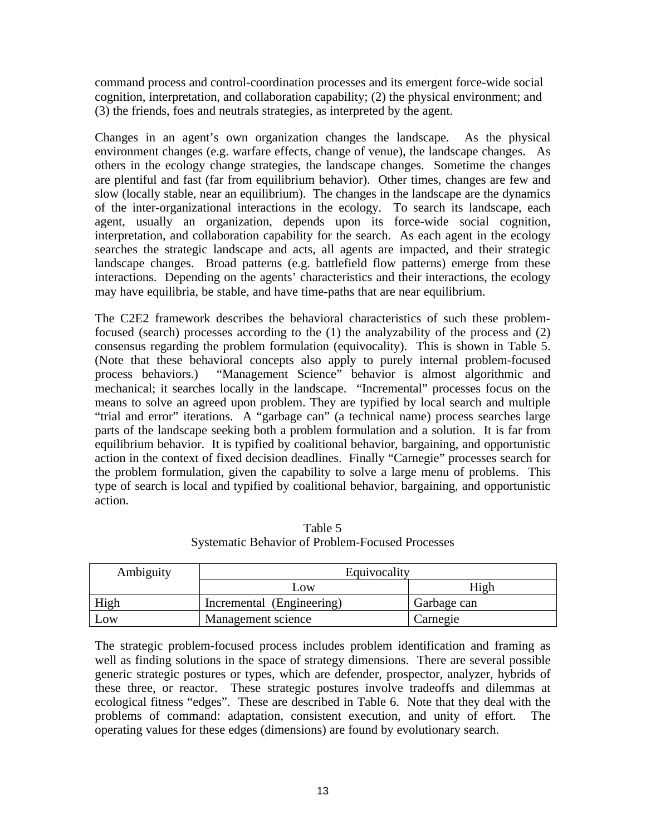command process and control-coordination processes and its emergent force-wide social cognition, interpretation, and collaboration capability; (2) the physical environment; and (3) the friends, foes and neutrals strategies, as interpreted by the agent.

Changes in an agent's own organization changes the landscape. As the physical environment changes (e.g. warfare effects, change of venue), the landscape changes. As others in the ecology change strategies, the landscape changes. Sometime the changes are plentiful and fast (far from equilibrium behavior). Other times, changes are few and slow (locally stable, near an equilibrium). The changes in the landscape are the dynamics of the inter-organizational interactions in the ecology. To search its landscape, each agent, usually an organization, depends upon its force-wide social cognition, interpretation, and collaboration capability for the search. As each agent in the ecology searches the strategic landscape and acts, all agents are impacted, and their strategic landscape changes. Broad patterns (e.g. battlefield flow patterns) emerge from these interactions. Depending on the agents' characteristics and their interactions, the ecology may have equilibria, be stable, and have time-paths that are near equilibrium.

The C2E2 framework describes the behavioral characteristics of such these problemfocused (search) processes according to the (1) the analyzability of the process and (2) consensus regarding the problem formulation (equivocality). This is shown in Table 5. (Note that these behavioral concepts also apply to purely internal problem-focused process behaviors.) "Management Science" behavior is almost algorithmic and mechanical; it searches locally in the landscape. "Incremental" processes focus on the means to solve an agreed upon problem. They are typified by local search and multiple "trial and error" iterations. A "garbage can" (a technical name) process searches large parts of the landscape seeking both a problem formulation and a solution. It is far from equilibrium behavior. It is typified by coalitional behavior, bargaining, and opportunistic action in the context of fixed decision deadlines. Finally "Carnegie" processes search for the problem formulation, given the capability to solve a large menu of problems. This type of search is local and typified by coalitional behavior, bargaining, and opportunistic action.

| Ambiguity | Equivocality              |             |  |
|-----------|---------------------------|-------------|--|
|           | $\overline{\text{OW}}$    | High        |  |
| High      | Incremental (Engineering) | Garbage can |  |
| Low       | Management science        | Carnegie    |  |

Table 5 Systematic Behavior of Problem-Focused Processes

The strategic problem-focused process includes problem identification and framing as well as finding solutions in the space of strategy dimensions. There are several possible generic strategic postures or types, which are defender, prospector, analyzer, hybrids of these three, or reactor. These strategic postures involve tradeoffs and dilemmas at ecological fitness "edges". These are described in Table 6. Note that they deal with the problems of command: adaptation, consistent execution, and unity of effort. The operating values for these edges (dimensions) are found by evolutionary search.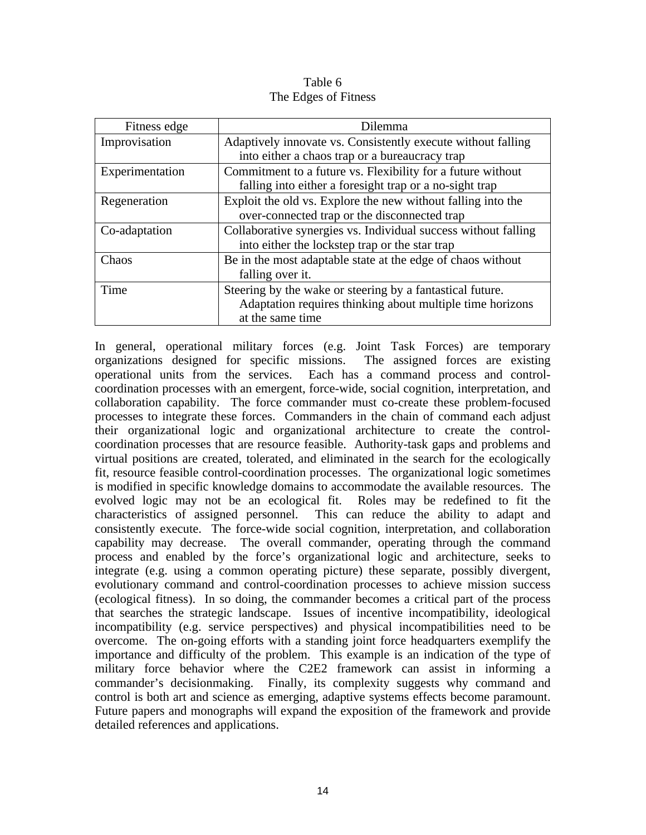#### Table 6 The Edges of Fitness

| Fitness edge    | <b>Dilemma</b>                                                 |  |
|-----------------|----------------------------------------------------------------|--|
| Improvisation   | Adaptively innovate vs. Consistently execute without falling   |  |
|                 | into either a chaos trap or a bureaucracy trap                 |  |
| Experimentation | Commitment to a future vs. Flexibility for a future without    |  |
|                 | falling into either a foresight trap or a no-sight trap        |  |
| Regeneration    | Exploit the old vs. Explore the new without falling into the   |  |
|                 | over-connected trap or the disconnected trap                   |  |
| Co-adaptation   | Collaborative synergies vs. Individual success without falling |  |
|                 | into either the lockstep trap or the star trap                 |  |
| Chaos           | Be in the most adaptable state at the edge of chaos without    |  |
|                 | falling over it.                                               |  |
| Time            | Steering by the wake or steering by a fantastical future.      |  |
|                 | Adaptation requires thinking about multiple time horizons      |  |
|                 | at the same time                                               |  |

In general, operational military forces (e.g. Joint Task Forces) are temporary organizations designed for specific missions. The assigned forces are existing operational units from the services. Each has a command process and controlcoordination processes with an emergent, force-wide, social cognition, interpretation, and collaboration capability. The force commander must co-create these problem-focused processes to integrate these forces. Commanders in the chain of command each adjust their organizational logic and organizational architecture to create the controlcoordination processes that are resource feasible. Authority-task gaps and problems and virtual positions are created, tolerated, and eliminated in the search for the ecologically fit, resource feasible control-coordination processes. The organizational logic sometimes is modified in specific knowledge domains to accommodate the available resources. The evolved logic may not be an ecological fit. Roles may be redefined to fit the characteristics of assigned personnel. This can reduce the ability to adapt and consistently execute. The force-wide social cognition, interpretation, and collaboration capability may decrease. The overall commander, operating through the command process and enabled by the force's organizational logic and architecture, seeks to integrate (e.g. using a common operating picture) these separate, possibly divergent, evolutionary command and control-coordination processes to achieve mission success (ecological fitness). In so doing, the commander becomes a critical part of the process that searches the strategic landscape. Issues of incentive incompatibility, ideological incompatibility (e.g. service perspectives) and physical incompatibilities need to be overcome. The on-going efforts with a standing joint force headquarters exemplify the importance and difficulty of the problem. This example is an indication of the type of military force behavior where the C2E2 framework can assist in informing a commander's decisionmaking. Finally, its complexity suggests why command and control is both art and science as emerging, adaptive systems effects become paramount. Future papers and monographs will expand the exposition of the framework and provide detailed references and applications.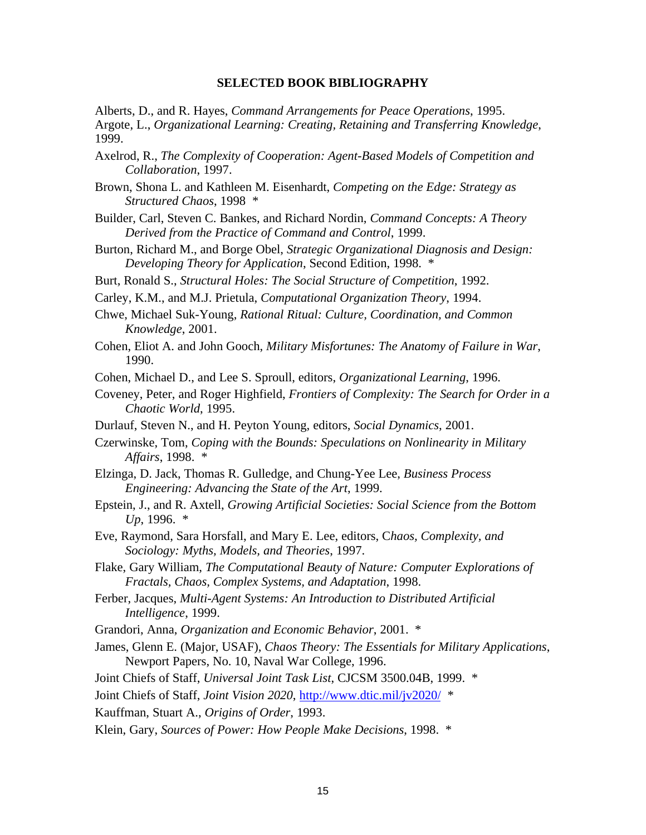#### **SELECTED BOOK BIBLIOGRAPHY**

Alberts, D., and R. Hayes, *Command Arrangements for Peace Operations*, 1995. Argote, L., *Organizational Learning: Creating, Retaining and Transferring Knowledge*, 1999.

- Axelrod, R., *The Complexity of Cooperation: Agent-Based Models of Competition and Collaboration*, 1997.
- Brown, Shona L. and Kathleen M. Eisenhardt, *Competing on the Edge: Strategy as Structured Chaos*, 1998 \*
- Builder, Carl, Steven C. Bankes, and Richard Nordin, *Command Concepts: A Theory Derived from the Practice of Command and Control*, 1999.
- Burton, Richard M., and Borge Obel, *Strategic Organizational Diagnosis and Design: Developing Theory for Application*, Second Edition, 1998. \*
- Burt, Ronald S., *Structural Holes: The Social Structure of Competition*, 1992.
- Carley, K.M., and M.J. Prietula, *Computational Organization Theory*, 1994.
- Chwe, Michael Suk-Young, *Rational Ritual: Culture, Coordination, and Common Knowledge*, 2001.
- Cohen, Eliot A. and John Gooch, *Military Misfortunes: The Anatomy of Failure in War*, 1990.
- Cohen, Michael D., and Lee S. Sproull, editors, *Organizational Learning*, 1996.
- Coveney, Peter, and Roger Highfield, *Frontiers of Complexity: The Search for Order in a Chaotic World*, 1995.
- Durlauf, Steven N., and H. Peyton Young, editors, *Social Dynamics*, 2001.
- Czerwinske, Tom, *Coping with the Bounds: Speculations on Nonlinearity in Military Affairs*, 1998. \*
- Elzinga, D. Jack, Thomas R. Gulledge, and Chung-Yee Lee, *Business Process Engineering: Advancing the State of the Art*, 1999.
- Epstein, J., and R. Axtell, *Growing Artificial Societies: Social Science from the Bottom Up*, 1996. \*
- Eve, Raymond, Sara Horsfall, and Mary E. Lee, editors, C*haos, Complexity, and Sociology: Myths, Models, and Theories*, 1997.
- Flake, Gary William, *The Computational Beauty of Nature: Computer Explorations of Fractals, Chaos, Complex Systems, and Adaptation*, 1998.
- Ferber, Jacques, *Multi-Agent Systems: An Introduction to Distributed Artificial Intelligence*, 1999.
- Grandori, Anna, *Organization and Economic Behavior*, 2001. \*
- James, Glenn E. (Major, USAF), *Chaos Theory: The Essentials for Military Applications*, Newport Papers, No. 10, Naval War College, 1996.
- Joint Chiefs of Staff, *Universal Joint Task List*, CJCSM 3500.04B, 1999. \*

Joint Chiefs of Staff, *Joint Vision 2020*, http://www.dtic.mil/jv2020/ \*

- Kauffman, Stuart A., *Origins of Order*, 1993.
- Klein, Gary, *Sources of Power: How People Make Decisions*, 1998. \*